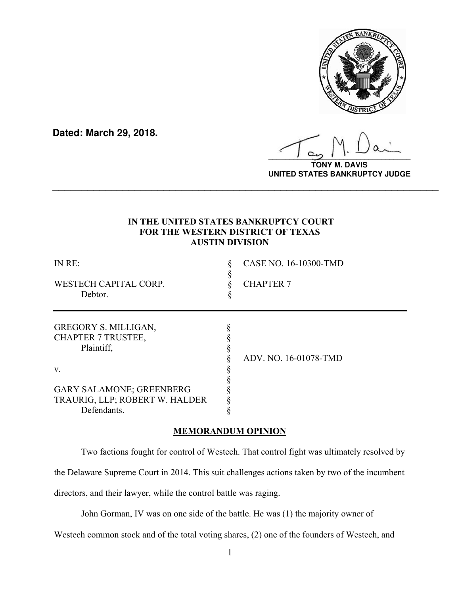

**Dated: March 29, 2018.**

**\_\_\_\_\_\_\_\_\_\_\_\_\_\_\_\_\_\_\_\_\_\_\_\_\_\_\_\_\_\_\_\_\_\_**

**TONY M. DAVIS UNITED STATES BANKRUPTCY JUDGE**

# **IN THE UNITED STATES BANKRUPTCY COURT FOR THE WESTERN DISTRICT OF TEXAS AUSTIN DIVISION**

**\_\_\_\_\_\_\_\_\_\_\_\_\_\_\_\_\_\_\_\_\_\_\_\_\_\_\_\_\_\_\_\_\_\_\_\_\_\_\_\_\_\_\_\_\_\_\_\_\_\_\_\_\_\_\_\_\_\_\_\_\_\_\_\_\_\_**

| IN RE:                          | CASE NO. 16-10300-TMD |
|---------------------------------|-----------------------|
| WESTECH CAPITAL CORP.           | <b>CHAPTER 7</b>      |
| Debtor.                         |                       |
| GREGORY S. MILLIGAN,            |                       |
| <b>CHAPTER 7 TRUSTEE,</b>       |                       |
| Plaintiff,                      |                       |
|                                 | ADV. NO. 16-01078-TMD |
| V.                              |                       |
|                                 |                       |
| <b>GARY SALAMONE; GREENBERG</b> |                       |
| TRAURIG, LLP; ROBERT W. HALDER  |                       |
| Defendants.                     |                       |

# **MEMORANDUM OPINION**

Two factions fought for control of Westech. That control fight was ultimately resolved by

the Delaware Supreme Court in 2014. This suit challenges actions taken by two of the incumbent

directors, and their lawyer, while the control battle was raging.

John Gorman, IV was on one side of the battle. He was (1) the majority owner of

Westech common stock and of the total voting shares, (2) one of the founders of Westech, and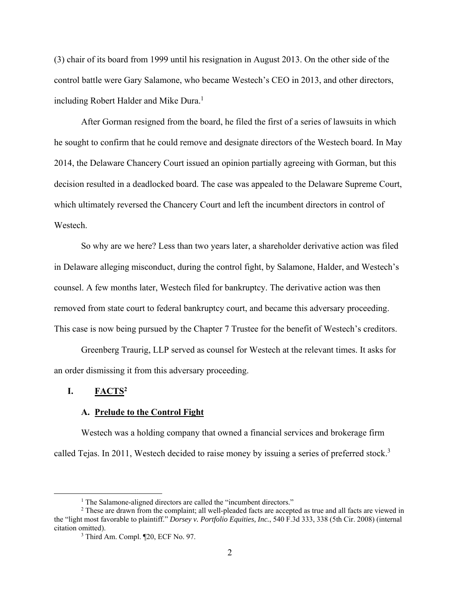(3) chair of its board from 1999 until his resignation in August 2013. On the other side of the control battle were Gary Salamone, who became Westech's CEO in 2013, and other directors, including Robert Halder and Mike Dura.<sup>1</sup>

After Gorman resigned from the board, he filed the first of a series of lawsuits in which he sought to confirm that he could remove and designate directors of the Westech board. In May 2014, the Delaware Chancery Court issued an opinion partially agreeing with Gorman, but this decision resulted in a deadlocked board. The case was appealed to the Delaware Supreme Court, which ultimately reversed the Chancery Court and left the incumbent directors in control of Westech.

So why are we here? Less than two years later, a shareholder derivative action was filed in Delaware alleging misconduct, during the control fight, by Salamone, Halder, and Westech's counsel. A few months later, Westech filed for bankruptcy. The derivative action was then removed from state court to federal bankruptcy court, and became this adversary proceeding. This case is now being pursued by the Chapter 7 Trustee for the benefit of Westech's creditors.

Greenberg Traurig, LLP served as counsel for Westech at the relevant times. It asks for an order dismissing it from this adversary proceeding.

### **I. FACTS2**

#### **A. Prelude to the Control Fight**

Westech was a holding company that owned a financial services and brokerage firm called Tejas. In 2011, Westech decided to raise money by issuing a series of preferred stock.<sup>3</sup>

<sup>&</sup>lt;u>1</u> <sup>1</sup> The Salamone-aligned directors are called the "incumbent directors."

<sup>&</sup>lt;sup>2</sup> These are drawn from the complaint; all well-pleaded facts are accepted as true and all facts are viewed in the "light most favorable to plaintiff." *Dorsey v. Portfolio Equities, Inc.*, 540 F.3d 333, 338 (5th Cir. 2008) (internal citation omitted).

<sup>&</sup>lt;sup>3</sup> Third Am. Compl. ¶20, ECF No. 97.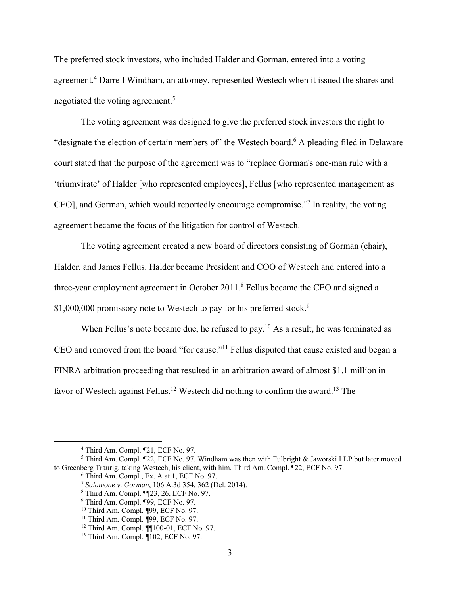The preferred stock investors, who included Halder and Gorman, entered into a voting agreement.<sup>4</sup> Darrell Windham, an attorney, represented Westech when it issued the shares and negotiated the voting agreement.<sup>5</sup>

The voting agreement was designed to give the preferred stock investors the right to "designate the election of certain members of" the Westech board.<sup>6</sup> A pleading filed in Delaware court stated that the purpose of the agreement was to "replace Gorman's one-man rule with a 'triumvirate' of Halder [who represented employees], Fellus [who represented management as CEO], and Gorman, which would reportedly encourage compromise."7 In reality, the voting agreement became the focus of the litigation for control of Westech.

The voting agreement created a new board of directors consisting of Gorman (chair), Halder, and James Fellus. Halder became President and COO of Westech and entered into a three-year employment agreement in October  $2011$ .<sup>8</sup> Fellus became the CEO and signed a \$1,000,000 promissory note to Westech to pay for his preferred stock.<sup>9</sup>

When Fellus's note became due, he refused to pay.<sup>10</sup> As a result, he was terminated as CEO and removed from the board "for cause."11 Fellus disputed that cause existed and began a FINRA arbitration proceeding that resulted in an arbitration award of almost \$1.1 million in favor of Westech against Fellus.<sup>12</sup> Westech did nothing to confirm the award.<sup>13</sup> The

 $\overline{a}$ <sup>4</sup> Third Am. Compl. ¶21, ECF No. 97.

<sup>&</sup>lt;sup>5</sup> Third Am. Compl.  $[22,$  ECF No. 97. Windham was then with Fulbright & Jaworski LLP but later moved to Greenberg Traurig, taking Westech, his client, with him. Third Am. Compl. ¶22, ECF No. 97.

<sup>6</sup> Third Am. Compl., Ex. A at 1, ECF No. 97.

<sup>7</sup> *Salamone v. Gorman*, 106 A.3d 354, 362 (Del. 2014).

<sup>8</sup> Third Am. Compl. ¶¶23, 26, ECF No. 97.

<sup>&</sup>lt;sup>9</sup> Third Am. Compl. ¶99, ECF No. 97.

<sup>10</sup> Third Am. Compl. ¶99, ECF No. 97.

<sup>&</sup>lt;sup>11</sup> Third Am. Compl.  $\overline{999}$ , ECF No. 97.

<sup>12</sup> Third Am. Compl. ¶¶100-01, ECF No. 97.

<sup>13</sup> Third Am. Compl. ¶102, ECF No. 97.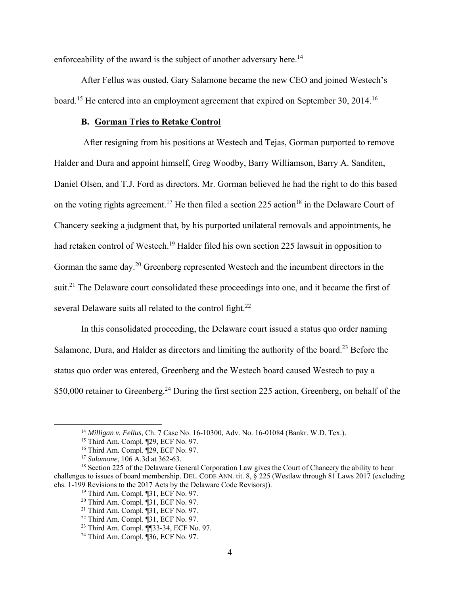enforceability of the award is the subject of another adversary here.<sup>14</sup>

After Fellus was ousted, Gary Salamone became the new CEO and joined Westech's board.<sup>15</sup> He entered into an employment agreement that expired on September 30, 2014.<sup>16</sup>

#### **B. Gorman Tries to Retake Control**

 After resigning from his positions at Westech and Tejas, Gorman purported to remove Halder and Dura and appoint himself, Greg Woodby, Barry Williamson, Barry A. Sanditen, Daniel Olsen, and T.J. Ford as directors. Mr. Gorman believed he had the right to do this based on the voting rights agreement.<sup>17</sup> He then filed a section 225 action<sup>18</sup> in the Delaware Court of Chancery seeking a judgment that, by his purported unilateral removals and appointments, he had retaken control of Westech.<sup>19</sup> Halder filed his own section 225 lawsuit in opposition to Gorman the same day.20 Greenberg represented Westech and the incumbent directors in the suit.<sup>21</sup> The Delaware court consolidated these proceedings into one, and it became the first of several Delaware suits all related to the control fight.<sup>22</sup>

In this consolidated proceeding, the Delaware court issued a status quo order naming Salamone, Dura, and Halder as directors and limiting the authority of the board.<sup>23</sup> Before the status quo order was entered, Greenberg and the Westech board caused Westech to pay a \$50,000 retainer to Greenberg.<sup>24</sup> During the first section 225 action, Greenberg, on behalf of the

<sup>14</sup> *Milligan v. Fellus*, Ch. 7 Case No. 16-10300, Adv. No. 16-01084 (Bankr. W.D. Tex.). 15 Third Am. Compl. ¶29, ECF No. 97.

<sup>16</sup> Third Am. Compl. ¶29, ECF No. 97.

<sup>17</sup> *Salamone*, 106 A.3d at 362-63.

<sup>&</sup>lt;sup>18</sup> Section 225 of the Delaware General Corporation Law gives the Court of Chancery the ability to hear challenges to issues of board membership. DEL. CODE ANN. tit. 8,  $\bar{\S}$  225 (Westlaw through 81 Laws 2017 (excluding chs. 1-199 Revisions to the 2017 Acts by the Delaware Code Revisors)).

<sup>19</sup> Third Am. Compl. ¶31, ECF No. 97.

<sup>20</sup> Third Am. Compl. ¶31, ECF No. 97.

 $21$  Third Am. Compl.  $\P$ 31, ECF No. 97.

 $22$  Third Am. Compl.  $\overline{931}$ , ECF No. 97.

<sup>23</sup> Third Am. Compl. ¶¶33-34, ECF No. 97.

<sup>24</sup> Third Am. Compl. ¶36, ECF No. 97.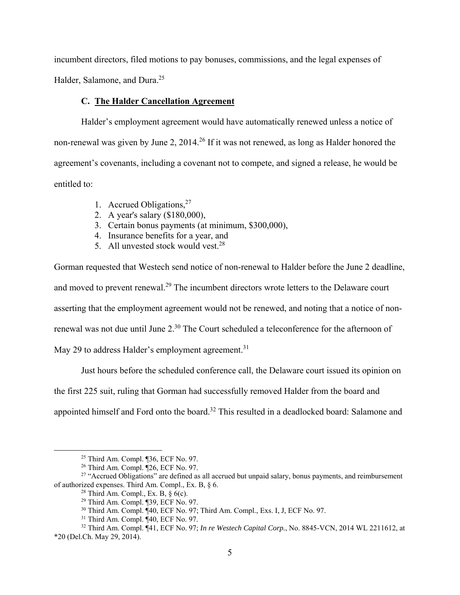incumbent directors, filed motions to pay bonuses, commissions, and the legal expenses of Halder, Salamone, and Dura.<sup>25</sup>

#### **C. The Halder Cancellation Agreement**

Halder's employment agreement would have automatically renewed unless a notice of non-renewal was given by June 2, 2014.<sup>26</sup> If it was not renewed, as long as Halder honored the agreement's covenants, including a covenant not to compete, and signed a release, he would be entitled to:

- 1. Accrued Obligations,  $27$
- 2. A year's salary (\$180,000),
- 3. Certain bonus payments (at minimum, \$300,000),
- 4. Insurance benefits for a year, and
- 5. All unvested stock would vest.  $28$

Gorman requested that Westech send notice of non-renewal to Halder before the June 2 deadline, and moved to prevent renewal.<sup>29</sup> The incumbent directors wrote letters to the Delaware court asserting that the employment agreement would not be renewed, and noting that a notice of nonrenewal was not due until June 2.<sup>30</sup> The Court scheduled a teleconference for the afternoon of May 29 to address Halder's employment agreement.<sup>31</sup>

Just hours before the scheduled conference call, the Delaware court issued its opinion on the first 225 suit, ruling that Gorman had successfully removed Halder from the board and appointed himself and Ford onto the board.<sup>32</sup> This resulted in a deadlocked board: Salamone and

 <sup>25</sup> Third Am. Compl. ¶36, ECF No. 97.

<sup>26</sup> Third Am. Compl. ¶26, ECF No. 97.

<sup>&</sup>lt;sup>27</sup> "Accrued Obligations" are defined as all accrued but unpaid salary, bonus payments, and reimbursement of authorized expenses. Third Am. Compl., Ex. B, § 6.

<sup>&</sup>lt;sup>28</sup> Third Am. Compl., Ex. B,  $\delta$  6(c).

<sup>29</sup> Third Am. Compl. ¶39, ECF No. 97.

<sup>30</sup> Third Am. Compl. ¶40, ECF No. 97; Third Am. Compl., Exs. I, J, ECF No. 97.

 $31$  Third Am. Compl.  $\P$ 40, ECF No. 97.

<sup>32</sup> Third Am. Compl. ¶41, ECF No. 97; *In re Westech Capital Corp.*, No. 8845-VCN, 2014 WL 2211612, at \*20 (Del.Ch. May 29, 2014).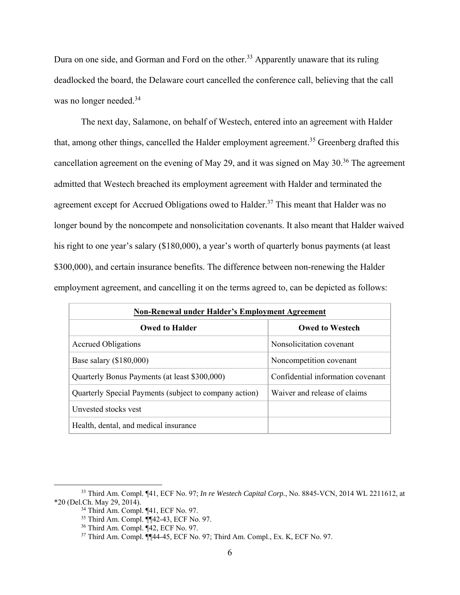Dura on one side, and Gorman and Ford on the other.<sup>33</sup> Apparently unaware that its ruling deadlocked the board, the Delaware court cancelled the conference call, believing that the call was no longer needed.<sup>34</sup>

The next day, Salamone, on behalf of Westech, entered into an agreement with Halder that, among other things, cancelled the Halder employment agreement.<sup>35</sup> Greenberg drafted this cancellation agreement on the evening of May 29, and it was signed on May 30.<sup>36</sup> The agreement admitted that Westech breached its employment agreement with Halder and terminated the agreement except for Accrued Obligations owed to Halder.<sup>37</sup> This meant that Halder was no longer bound by the noncompete and nonsolicitation covenants. It also meant that Halder waived his right to one year's salary (\$180,000), a year's worth of quarterly bonus payments (at least \$300,000), and certain insurance benefits. The difference between non-renewing the Halder employment agreement, and cancelling it on the terms agreed to, can be depicted as follows:

| <b>Non-Renewal under Halder's Employment Agreement</b> |                                   |  |
|--------------------------------------------------------|-----------------------------------|--|
| <b>Owed to Halder</b>                                  | <b>Owed to Westech</b>            |  |
| <b>Accrued Obligations</b>                             | Nonsolicitation covenant          |  |
| Base salary $(\$180,000)$                              | Noncompetition covenant           |  |
| Quarterly Bonus Payments (at least \$300,000)          | Confidential information covenant |  |
| Quarterly Special Payments (subject to company action) | Waiver and release of claims      |  |
| Unvested stocks yest                                   |                                   |  |
| Health, dental, and medical insurance                  |                                   |  |

 <sup>33</sup> Third Am. Compl. ¶41, ECF No. 97; *In re Westech Capital Corp.*, No. 8845-VCN, 2014 WL 2211612, at \*20 (Del.Ch. May 29, 2014).

<sup>&</sup>lt;sup>34</sup> Third Am. Compl. ¶41, ECF No. 97.

<sup>35</sup> Third Am. Compl. ¶¶42-43, ECF No. 97.

<sup>36</sup> Third Am. Compl. ¶42, ECF No. 97.

<sup>37</sup> Third Am. Compl. ¶¶44-45, ECF No. 97; Third Am. Compl., Ex. K, ECF No. 97.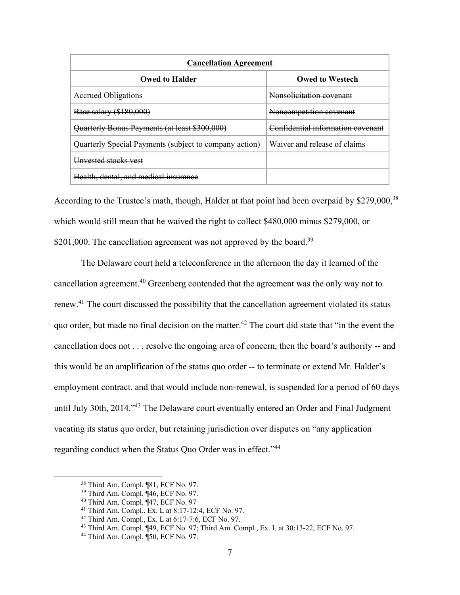| <b>Cancellation Agreement</b>                          |                                   |  |
|--------------------------------------------------------|-----------------------------------|--|
| <b>Owed to Halder</b>                                  | <b>Owed to Westech</b>            |  |
| <b>Accrued Obligations</b>                             | Nonsolicitation covenant          |  |
| Base salary (\$180,000)                                | Noncompetition covenant           |  |
| Quarterly Bonus Payments (at least \$300,000)          | Confidential information covenant |  |
| Quarterly Special Payments (subject to company action) | Waiver and release of claims      |  |
| Unvested stocks vest                                   |                                   |  |
| Health, dental, and medical insurance                  |                                   |  |

According to the Trustee's math, though, Halder at that point had been overpaid by \$279,000,<sup>38</sup> which would still mean that he waived the right to collect \$480,000 minus \$279,000, or \$201,000. The cancellation agreement was not approved by the board.<sup>39</sup>

The Delaware court held a teleconference in the afternoon the day it learned of the cancellation agreement.<sup>40</sup> Greenberg contended that the agreement was the only way not to renew.41 The court discussed the possibility that the cancellation agreement violated its status quo order, but made no final decision on the matter.42 The court did state that "in the event the cancellation does not . . . resolve the ongoing area of concern, then the board's authority -- and this would be an amplification of the status quo order -- to terminate or extend Mr. Halder's employment contract, and that would include non-renewal, is suspended for a period of 60 days until July 30th, 2014."<sup>43</sup> The Delaware court eventually entered an Order and Final Judgment vacating its status quo order, but retaining jurisdiction over disputes on "any application regarding conduct when the Status Quo Order was in effect."44

 <sup>38</sup> Third Am. Compl. ¶81, ECF No. 97.

<sup>39</sup> Third Am. Compl. ¶46, ECF No. 97.

<sup>&</sup>lt;sup>40</sup> Third Am. Compl. ¶47, ECF No. 97<br><sup>41</sup> Third Am. Compl., Ex. L at 8:17-12:4, ECF No. 97.

 $42$  Third Am. Compl., Ex. L at 6:17-7:6, ECF No. 97.

<sup>43</sup> Third Am. Compl. ¶49, ECF No. 97; Third Am. Compl., Ex. L at 30:13-22, ECF No. 97. 44 Third Am. Compl. ¶50, ECF No. 97.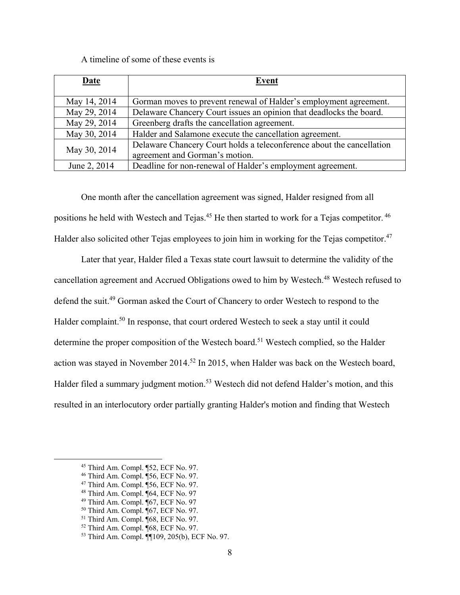A timeline of some of these events is

| Date         | Event                                                                 |
|--------------|-----------------------------------------------------------------------|
| May 14, 2014 | Gorman moves to prevent renewal of Halder's employment agreement.     |
| May 29, 2014 | Delaware Chancery Court issues an opinion that deadlocks the board.   |
| May 29, 2014 | Greenberg drafts the cancellation agreement.                          |
| May 30, 2014 | Halder and Salamone execute the cancellation agreement.               |
| May 30, 2014 | Delaware Chancery Court holds a teleconference about the cancellation |
|              | agreement and Gorman's motion.                                        |
| June 2, 2014 | Deadline for non-renewal of Halder's employment agreement.            |

One month after the cancellation agreement was signed, Halder resigned from all positions he held with Westech and Tejas.<sup>45</sup> He then started to work for a Tejas competitor.<sup>46</sup> Halder also solicited other Tejas employees to join him in working for the Tejas competitor.<sup>47</sup>

Later that year, Halder filed a Texas state court lawsuit to determine the validity of the cancellation agreement and Accrued Obligations owed to him by Westech.48 Westech refused to defend the suit.49 Gorman asked the Court of Chancery to order Westech to respond to the Halder complaint.<sup>50</sup> In response, that court ordered Westech to seek a stay until it could determine the proper composition of the Westech board.<sup>51</sup> Westech complied, so the Halder action was stayed in November 2014.<sup>52</sup> In 2015, when Halder was back on the Westech board, Halder filed a summary judgment motion.<sup>53</sup> Westech did not defend Halder's motion, and this resulted in an interlocutory order partially granting Halder's motion and finding that Westech

 <sup>45</sup> Third Am. Compl. ¶52, ECF No. 97.

<sup>46</sup> Third Am. Compl. ¶56, ECF No. 97.

<sup>47</sup> Third Am. Compl. ¶56, ECF No. 97.

<sup>48</sup> Third Am. Compl. ¶64, ECF No. 97

<sup>49</sup> Third Am. Compl. ¶67, ECF No. 97

<sup>50</sup> Third Am. Compl. ¶67, ECF No. 97.

 $51$  Third Am. Compl.  $\sqrt{68}$ , ECF No. 97.

<sup>52</sup> Third Am. Compl. ¶68, ECF No. 97.

<sup>53</sup> Third Am. Compl. ¶¶109, 205(b), ECF No. 97.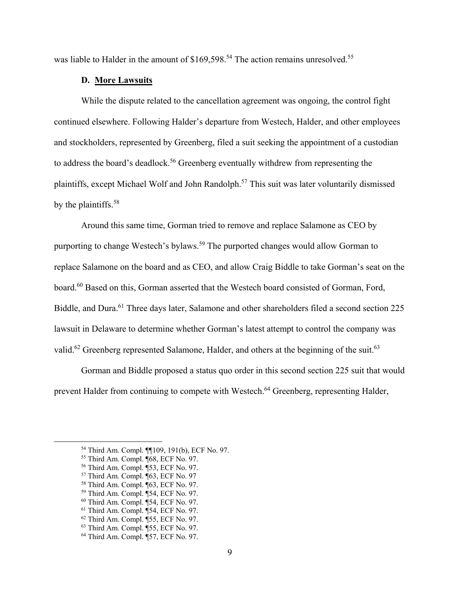was liable to Halder in the amount of \$169,598.<sup>54</sup> The action remains unresolved.<sup>55</sup>

### **D. More Lawsuits**

While the dispute related to the cancellation agreement was ongoing, the control fight continued elsewhere. Following Halder's departure from Westech, Halder, and other employees and stockholders, represented by Greenberg, filed a suit seeking the appointment of a custodian to address the board's deadlock.<sup>56</sup> Greenberg eventually withdrew from representing the plaintiffs, except Michael Wolf and John Randolph.<sup>57</sup> This suit was later voluntarily dismissed by the plaintiffs.<sup>58</sup>

Around this same time, Gorman tried to remove and replace Salamone as CEO by purporting to change Westech's bylaws.<sup>59</sup> The purported changes would allow Gorman to replace Salamone on the board and as CEO, and allow Craig Biddle to take Gorman's seat on the board.<sup>60</sup> Based on this, Gorman asserted that the Westech board consisted of Gorman, Ford, Biddle, and Dura.<sup>61</sup> Three days later, Salamone and other shareholders filed a second section 225 lawsuit in Delaware to determine whether Gorman's latest attempt to control the company was valid.<sup>62</sup> Greenberg represented Salamone, Halder, and others at the beginning of the suit.<sup>63</sup>

Gorman and Biddle proposed a status quo order in this second section 225 suit that would prevent Halder from continuing to compete with Westech.64 Greenberg, representing Halder,

 <sup>54</sup> Third Am. Compl. ¶¶109, 191(b), ECF No. 97. 55 Third Am. Compl. ¶68, ECF No. 97.

<sup>56</sup> Third Am. Compl. ¶53, ECF No. 97.

<sup>57</sup> Third Am. Compl. ¶63, ECF No. 97

<sup>58</sup> Third Am. Compl. ¶63, ECF No. 97. 59 Third Am. Compl. ¶54, ECF No. 97.

<sup>60</sup> Third Am. Compl. ¶54, ECF No. 97. 61 Third Am. Compl. ¶54, ECF No. 97.

 $62$  Third Am. Compl.  $\overline{155}$ , ECF No. 97.

<sup>63</sup> Third Am. Compl. ¶55, ECF No. 97.

<sup>64</sup> Third Am. Compl. ¶57, ECF No. 97.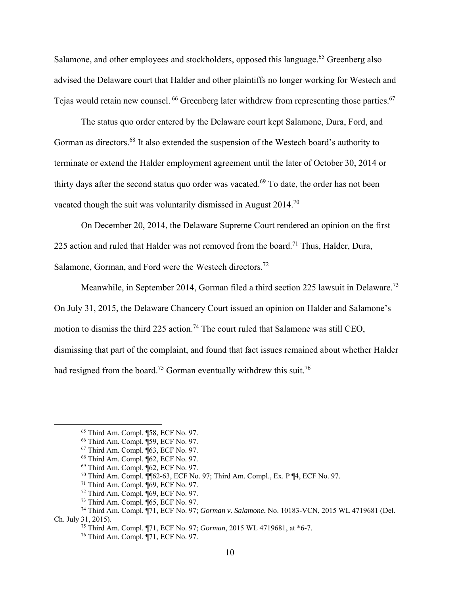Salamone, and other employees and stockholders, opposed this language.<sup>65</sup> Greenberg also advised the Delaware court that Halder and other plaintiffs no longer working for Westech and Tejas would retain new counsel. <sup>66</sup> Greenberg later withdrew from representing those parties. <sup>67</sup>

The status quo order entered by the Delaware court kept Salamone, Dura, Ford, and Gorman as directors.<sup>68</sup> It also extended the suspension of the Westech board's authority to terminate or extend the Halder employment agreement until the later of October 30, 2014 or thirty days after the second status quo order was vacated.<sup>69</sup> To date, the order has not been vacated though the suit was voluntarily dismissed in August 2014.<sup>70</sup>

On December 20, 2014, the Delaware Supreme Court rendered an opinion on the first 225 action and ruled that Halder was not removed from the board.<sup>71</sup> Thus, Halder, Dura, Salamone, Gorman, and Ford were the Westech directors.<sup>72</sup>

Meanwhile, in September 2014, Gorman filed a third section 225 lawsuit in Delaware.<sup>73</sup> On July 31, 2015, the Delaware Chancery Court issued an opinion on Halder and Salamone's motion to dismiss the third 225 action.<sup>74</sup> The court ruled that Salamone was still CEO, dismissing that part of the complaint, and found that fact issues remained about whether Halder had resigned from the board.<sup>75</sup> Gorman eventually withdrew this suit.<sup>76</sup>

 <sup>65</sup> Third Am. Compl. ¶58, ECF No. 97.

<sup>66</sup> Third Am. Compl. ¶59, ECF No. 97.

<sup>67</sup> Third Am. Compl. ¶63, ECF No. 97.

<sup>68</sup> Third Am. Compl. ¶62, ECF No. 97.

<sup>69</sup> Third Am. Compl. ¶62, ECF No. 97.

<sup>&</sup>lt;sup>70</sup> Third Am. Compl.  $\overline{\P}$  62-63, ECF No. 97; Third Am. Compl., Ex. P  $\P$ 4, ECF No. 97.

 $71$  Third Am. Compl.  $\P69$ , ECF No. 97.

 $72$  Third Am. Compl.  $\P$ 69, ECF No. 97.

<sup>73</sup> Third Am. Compl. ¶65, ECF No. 97.

<sup>74</sup> Third Am. Compl. ¶71, ECF No. 97; *Gorman v. Salamone*, No. 10183-VCN, 2015 WL 4719681 (Del. Ch. July 31, 2015). 75 Third Am. Compl. ¶71, ECF No. 97; *Gorman*, 2015 WL 4719681, at \*6-7.

<sup>76</sup> Third Am. Compl. ¶71, ECF No. 97.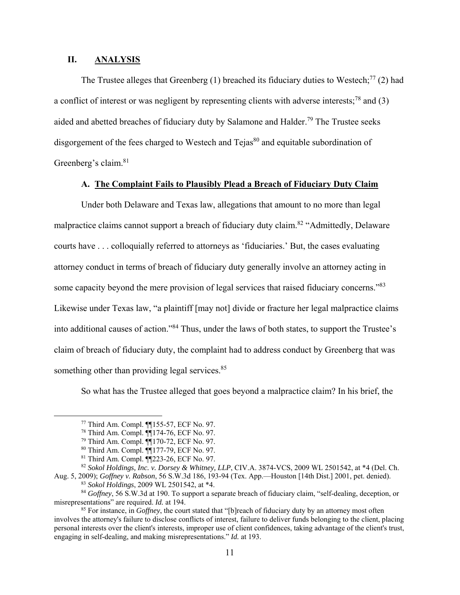### **II. ANALYSIS**

The Trustee alleges that Greenberg (1) breached its fiduciary duties to Westech;<sup>77</sup> (2) had a conflict of interest or was negligent by representing clients with adverse interests;<sup>78</sup> and (3) aided and abetted breaches of fiduciary duty by Salamone and Halder.<sup>79</sup> The Trustee seeks disgorgement of the fees charged to Westech and  $Teias<sup>80</sup>$  and equitable subordination of Greenberg's claim.<sup>81</sup>

# **A. The Complaint Fails to Plausibly Plead a Breach of Fiduciary Duty Claim**

Under both Delaware and Texas law, allegations that amount to no more than legal malpractice claims cannot support a breach of fiduciary duty claim.<sup>82</sup> "Admittedly, Delaware courts have . . . colloquially referred to attorneys as 'fiduciaries.' But, the cases evaluating attorney conduct in terms of breach of fiduciary duty generally involve an attorney acting in some capacity beyond the mere provision of legal services that raised fiduciary concerns."<sup>83</sup> Likewise under Texas law, "a plaintiff [may not] divide or fracture her legal malpractice claims into additional causes of action."84 Thus, under the laws of both states, to support the Trustee's claim of breach of fiduciary duty, the complaint had to address conduct by Greenberg that was something other than providing legal services.<sup>85</sup>

So what has the Trustee alleged that goes beyond a malpractice claim? In his brief, the

 <sup>77</sup> Third Am. Compl. ¶¶155-57, ECF No. 97.

<sup>78</sup> Third Am. Compl. ¶¶174-76, ECF No. 97.

<sup>79</sup> Third Am. Compl. ¶¶170-72, ECF No. 97.

<sup>80</sup> Third Am. Compl. ¶¶177-79, ECF No. 97.

<sup>81</sup> Third Am. Compl. ¶¶223-26, ECF No. 97.

<sup>82</sup> *Sokol Holdings, Inc. v. Dorsey & Whitney, LLP*, CIV.A. 3874-VCS, 2009 WL 2501542, at \*4 (Del. Ch. Aug. 5, 2009); *Goffney v. Rabson*, 56 S.W.3d 186, 193-94 (Tex. App.—Houston [14th Dist.] 2001, pet. denied).

<sup>83</sup> *Sokol Holdings*, 2009 WL 2501542, at \*4.

<sup>84</sup> *Goffney*, 56 S.W.3d at 190. To support a separate breach of fiduciary claim, "self-dealing, deception, or misrepresentations" are required. *Id.* at 194.

<sup>85</sup> For instance, in *Goffney*, the court stated that "[b]reach of fiduciary duty by an attorney most often involves the attorney's failure to disclose conflicts of interest, failure to deliver funds belonging to the client, placing personal interests over the client's interests, improper use of client confidences, taking advantage of the client's trust, engaging in self-dealing, and making misrepresentations." *Id.* at 193.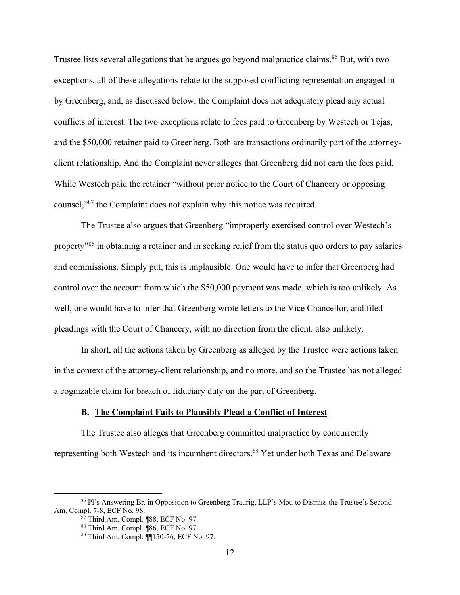Trustee lists several allegations that he argues go beyond malpractice claims.<sup>86</sup> But, with two exceptions, all of these allegations relate to the supposed conflicting representation engaged in by Greenberg, and, as discussed below, the Complaint does not adequately plead any actual conflicts of interest. The two exceptions relate to fees paid to Greenberg by Westech or Tejas, and the \$50,000 retainer paid to Greenberg. Both are transactions ordinarily part of the attorneyclient relationship. And the Complaint never alleges that Greenberg did not earn the fees paid. While Westech paid the retainer "without prior notice to the Court of Chancery or opposing counsel,"87 the Complaint does not explain why this notice was required.

The Trustee also argues that Greenberg "improperly exercised control over Westech's property"88 in obtaining a retainer and in seeking relief from the status quo orders to pay salaries and commissions. Simply put, this is implausible. One would have to infer that Greenberg had control over the account from which the \$50,000 payment was made, which is too unlikely. As well, one would have to infer that Greenberg wrote letters to the Vice Chancellor, and filed pleadings with the Court of Chancery, with no direction from the client, also unlikely.

In short, all the actions taken by Greenberg as alleged by the Trustee were actions taken in the context of the attorney-client relationship, and no more, and so the Trustee has not alleged a cognizable claim for breach of fiduciary duty on the part of Greenberg.

### **B. The Complaint Fails to Plausibly Plead a Conflict of Interest**

The Trustee also alleges that Greenberg committed malpractice by concurrently representing both Westech and its incumbent directors.<sup>89</sup> Yet under both Texas and Delaware

 <sup>86</sup> Pl's Answering Br. in Opposition to Greenberg Traurig, LLP's Mot. to Dismiss the Trustee's Second Am. Compl. 7-8, ECF No. 98.

 $8^{\overline{7}}$  Third Am. Compl. ¶88, ECF No. 97.

<sup>88</sup> Third Am. Compl. ¶86, ECF No. 97.

<sup>89</sup> Third Am. Compl. ¶¶150-76, ECF No. 97.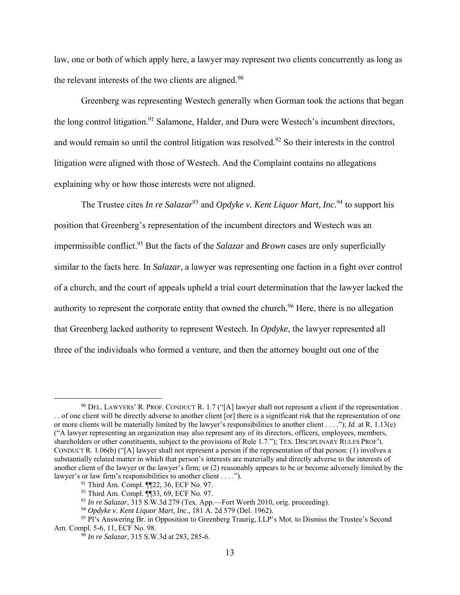law, one or both of which apply here, a lawyer may represent two clients concurrently as long as the relevant interests of the two clients are aligned. $90$ 

Greenberg was representing Westech generally when Gorman took the actions that began the long control litigation.<sup>91</sup> Salamone, Halder, and Dura were Westech's incumbent directors, and would remain so until the control litigation was resolved.<sup>92</sup> So their interests in the control litigation were aligned with those of Westech. And the Complaint contains no allegations explaining why or how those interests were not aligned.

The Trustee cites *In re Salazar*<sup>93</sup> and *Opdyke v. Kent Liquor Mart, Inc.*<sup>94</sup> to support his position that Greenberg's representation of the incumbent directors and Westech was an impermissible conflict.95 But the facts of the *Salazar* and *Brown* cases are only superficially similar to the facts here. In *Salazar*, a lawyer was representing one faction in a fight over control of a church, and the court of appeals upheld a trial court determination that the lawyer lacked the authority to represent the corporate entity that owned the church.<sup>96</sup> Here, there is no allegation that Greenberg lacked authority to represent Westech. In *Opdyke*, the lawyer represented all three of the individuals who formed a venture, and then the attorney bought out one of the

 $90$  DEL. LAWYERS' R. PROF. CONDUCT R. 1.7 ("[A] lawyer shall not represent a client if the representation. . . of one client will be directly adverse to another client [or] there is a significant risk that the representation of one or more clients will be materially limited by the lawyer's responsibilities to another client . . . ."); *Id.* at R. 1.13(e) ("A lawyer representing an organization may also represent any of its directors, officers, employees, members, shareholders or other constituents, subject to the provisions of Rule 1.7."); TEX. DISCIPLINARY RULES PROF'L CONDUCT R. 1.06(b) ("[A] lawyer shall not represent a person if the representation of that person: (1) involves a substantially related matter in which that person's interests are materially and directly adverse to the interests of another client of the lawyer or the lawyer's firm; or (2) reasonably appears to be or become adversely limited by the lawyer's or law firm's responsibilities to another client . . . .").

<sup>91</sup> Third Am. Compl. ¶¶22, 36, ECF No. 97.

<sup>92</sup> Third Am. Compl. ¶¶33, 69, ECF No. 97.

<sup>93</sup> *In re Salazar*, 315 S.W.3d 279 (Tex. App.—Fort Worth 2010, orig. proceeding).

<sup>94</sup> *Opdyke v. Kent Liquor Mart, Inc.,* 181 A. 2d 579 (Del. 1962)*.*

<sup>95</sup> Pl's Answering Br. in Opposition to Greenberg Traurig, LLP's Mot. to Dismiss the Trustee's Second Am. Compl. 5-6, 11, ECF No. 98.

<sup>96</sup> *In re Salazar*, 315 S.W.3d at 283, 285-6.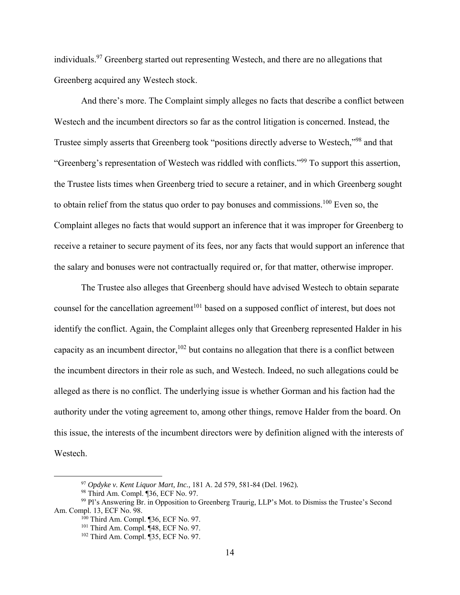individuals.97 Greenberg started out representing Westech, and there are no allegations that Greenberg acquired any Westech stock.

And there's more. The Complaint simply alleges no facts that describe a conflict between Westech and the incumbent directors so far as the control litigation is concerned. Instead, the Trustee simply asserts that Greenberg took "positions directly adverse to Westech,"98 and that "Greenberg's representation of Westech was riddled with conflicts."99 To support this assertion, the Trustee lists times when Greenberg tried to secure a retainer, and in which Greenberg sought to obtain relief from the status quo order to pay bonuses and commissions.<sup>100</sup> Even so, the Complaint alleges no facts that would support an inference that it was improper for Greenberg to receive a retainer to secure payment of its fees, nor any facts that would support an inference that the salary and bonuses were not contractually required or, for that matter, otherwise improper.

The Trustee also alleges that Greenberg should have advised Westech to obtain separate counsel for the cancellation agreement<sup>101</sup> based on a supposed conflict of interest, but does not identify the conflict. Again, the Complaint alleges only that Greenberg represented Halder in his capacity as an incumbent director,  $102$  but contains no allegation that there is a conflict between the incumbent directors in their role as such, and Westech. Indeed, no such allegations could be alleged as there is no conflict. The underlying issue is whether Gorman and his faction had the authority under the voting agreement to, among other things, remove Halder from the board. On this issue, the interests of the incumbent directors were by definition aligned with the interests of Westech.

 <sup>97</sup> *Opdyke v. Kent Liquor Mart, Inc.,* 181 A. 2d 579, 581-84 (Del. 1962)*.*

<sup>98</sup> Third Am. Compl. ¶36, ECF No. 97.

<sup>99</sup> Pl's Answering Br. in Opposition to Greenberg Traurig, LLP's Mot. to Dismiss the Trustee's Second Am. Compl. 13, ECF No. 98.

<sup>100</sup> Third Am. Compl. ¶36, ECF No. 97.

<sup>101</sup> Third Am. Compl. ¶48, ECF No. 97.

<sup>102</sup> Third Am. Compl. ¶35, ECF No. 97.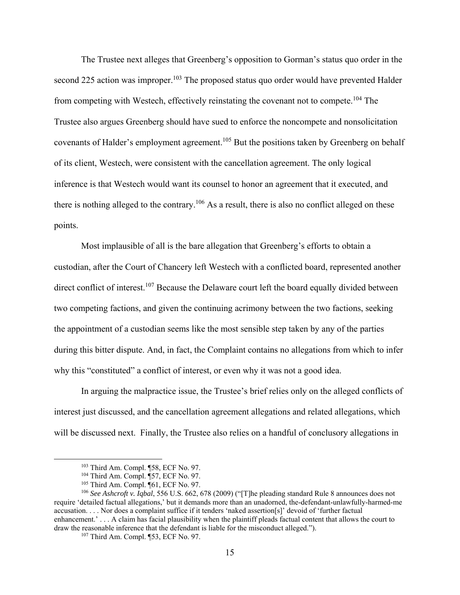The Trustee next alleges that Greenberg's opposition to Gorman's status quo order in the second 225 action was improper.<sup>103</sup> The proposed status quo order would have prevented Halder from competing with Westech, effectively reinstating the covenant not to compete.<sup>104</sup> The Trustee also argues Greenberg should have sued to enforce the noncompete and nonsolicitation covenants of Halder's employment agreement.<sup>105</sup> But the positions taken by Greenberg on behalf of its client, Westech, were consistent with the cancellation agreement. The only logical inference is that Westech would want its counsel to honor an agreement that it executed, and there is nothing alleged to the contrary.<sup>106</sup> As a result, there is also no conflict alleged on these points.

Most implausible of all is the bare allegation that Greenberg's efforts to obtain a custodian, after the Court of Chancery left Westech with a conflicted board, represented another direct conflict of interest.<sup>107</sup> Because the Delaware court left the board equally divided between two competing factions, and given the continuing acrimony between the two factions, seeking the appointment of a custodian seems like the most sensible step taken by any of the parties during this bitter dispute. And, in fact, the Complaint contains no allegations from which to infer why this "constituted" a conflict of interest, or even why it was not a good idea.

In arguing the malpractice issue, the Trustee's brief relies only on the alleged conflicts of interest just discussed, and the cancellation agreement allegations and related allegations, which will be discussed next. Finally, the Trustee also relies on a handful of conclusory allegations in

 <sup>103</sup> Third Am. Compl. ¶58, ECF No. 97.

<sup>104</sup> Third Am. Compl. ¶57, ECF No. 97.

<sup>105</sup> Third Am. Compl. ¶61, ECF No. 97.

<sup>106</sup> *See Ashcroft v. Iqbal*, 556 U.S. 662, 678 (2009) ("[T]he pleading standard Rule 8 announces does not require 'detailed factual allegations,' but it demands more than an unadorned, the-defendant-unlawfully-harmed-me accusation. . . . Nor does a complaint suffice if it tenders 'naked assertion[s]' devoid of 'further factual enhancement.' . . . A claim has facial plausibility when the plaintiff pleads factual content that allows the court to draw the reasonable inference that the defendant is liable for the misconduct alleged.").

<sup>107</sup> Third Am. Compl. ¶53, ECF No. 97.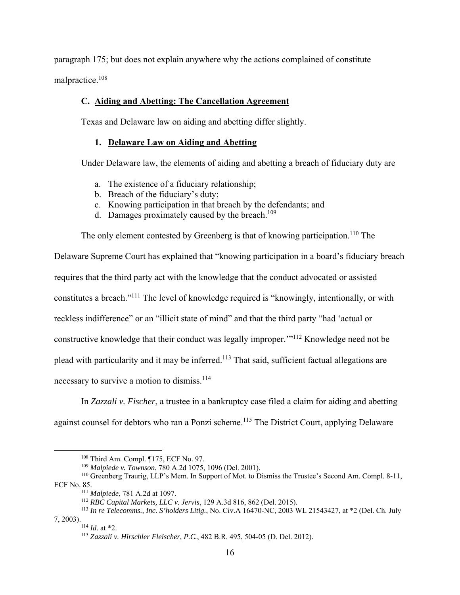paragraph 175; but does not explain anywhere why the actions complained of constitute malpractice.108

# **C. Aiding and Abetting: The Cancellation Agreement**

Texas and Delaware law on aiding and abetting differ slightly.

### **1. Delaware Law on Aiding and Abetting**

Under Delaware law, the elements of aiding and abetting a breach of fiduciary duty are

- a. The existence of a fiduciary relationship;
- b. Breach of the fiduciary's duty;
- c. Knowing participation in that breach by the defendants; and
- d. Damages proximately caused by the breach.<sup>109</sup>

The only element contested by Greenberg is that of knowing participation.<sup>110</sup> The

Delaware Supreme Court has explained that "knowing participation in a board's fiduciary breach requires that the third party act with the knowledge that the conduct advocated or assisted constitutes a breach."111 The level of knowledge required is "knowingly, intentionally, or with reckless indifference" or an "illicit state of mind" and that the third party "had 'actual or constructive knowledge that their conduct was legally improper.'"112 Knowledge need not be plead with particularity and it may be inferred.113 That said, sufficient factual allegations are necessary to survive a motion to dismiss.<sup>114</sup>

In *Zazzali v. Fischer*, a trustee in a bankruptcy case filed a claim for aiding and abetting against counsel for debtors who ran a Ponzi scheme.<sup>115</sup> The District Court, applying Delaware

 <sup>108</sup> Third Am. Compl. ¶175, ECF No. 97.

<sup>109</sup> *Malpiede v. Townson*, 780 A.2d 1075, 1096 (Del. 2001).

<sup>&</sup>lt;sup>110</sup> Greenberg Traurig, LLP's Mem. In Support of Mot. to Dismiss the Trustee's Second Am. Compl. 8-11, ECF No. 85.

<sup>&</sup>lt;sup>111</sup> *Malpiede*, 781 A.2d at 1097.<br><sup>112</sup> *RBC Capital Markets, LLC v. Jervis*, 129 A.3d 816, 862 (Del. 2015).

<sup>113</sup> *In re Telecomms., Inc. S'holders Litig.*, No. Civ.A 16470-NC, 2003 WL 21543427, at \*2 (Del. Ch. July 7, 2003).<br> $114$  *Id.* at \*2.

<sup>115</sup> *Zazzali v. Hirschler Fleischer, P.C.*, 482 B.R. 495, 504-05 (D. Del. 2012).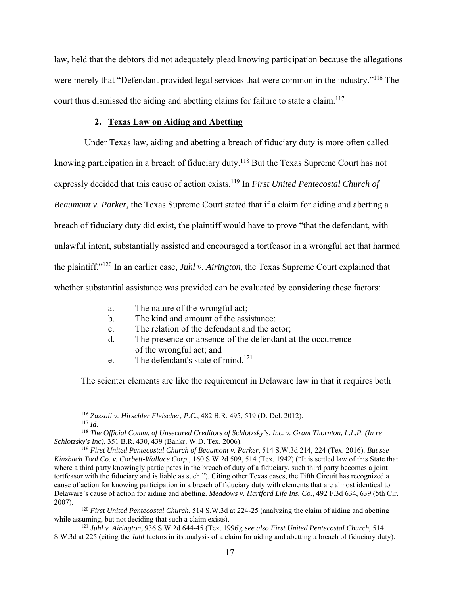law, held that the debtors did not adequately plead knowing participation because the allegations were merely that "Defendant provided legal services that were common in the industry."<sup>116</sup> The court thus dismissed the aiding and abetting claims for failure to state a claim.<sup>117</sup>

#### **2. Texas Law on Aiding and Abetting**

Under Texas law, aiding and abetting a breach of fiduciary duty is more often called knowing participation in a breach of fiduciary duty.<sup>118</sup> But the Texas Supreme Court has not expressly decided that this cause of action exists.<sup>119</sup> In *First United Pentecostal Church of Beaumont v. Parker,* the Texas Supreme Court stated that if a claim for aiding and abetting a breach of fiduciary duty did exist, the plaintiff would have to prove "that the defendant, with unlawful intent, substantially assisted and encouraged a tortfeasor in a wrongful act that harmed the plaintiff."120 In an earlier case, *Juhl v. Airington*, the Texas Supreme Court explained that whether substantial assistance was provided can be evaluated by considering these factors:

- a. The nature of the wrongful act;
- b. The kind and amount of the assistance;
- c. The relation of the defendant and the actor;
- d. The presence or absence of the defendant at the occurrence of the wrongful act; and
- e. The defendant's state of mind.<sup>121</sup>

The scienter elements are like the requirement in Delaware law in that it requires both

 <sup>116</sup> *Zazzali v. Hirschler Fleischer, P.C.*, 482 B.R. 495, 519 (D. Del. 2012).

<sup>117</sup> *Id.*

<sup>118</sup> *The Official Comm. of Unsecured Creditors of Schlotzsky's, Inc. v. Grant Thornton, L.L.P. (In re Schlotzsky's Inc)*, 351 B.R. 430, 439 (Bankr. W.D. Tex. 2006).

<sup>119</sup> *First United Pentecostal Church of Beaumont v. Parker*, 514 S.W.3d 214, 224 (Tex. 2016). *But see Kinzbach Tool Co. v. Corbett-Wallace Corp.*, 160 S.W.2d 509, 514 (Tex. 1942) ("It is settled law of this State that where a third party knowingly participates in the breach of duty of a fiduciary, such third party becomes a joint tortfeasor with the fiduciary and is liable as such."). Citing other Texas cases, the Fifth Circuit has recognized a cause of action for knowing participation in a breach of fiduciary duty with elements that are almost identical to Delaware's cause of action for aiding and abetting. *Meadows v. Hartford Life Ins. Co.*, 492 F.3d 634, 639 (5th Cir. 2007).

<sup>120</sup> *First United Pentecostal Church*, 514 S.W.3d at 224-25 (analyzing the claim of aiding and abetting while assuming, but not deciding that such a claim exists). 121 *Juhl v. Airington*, 936 S.W.2d 644-45 (Tex. 1996); *see also First United Pentecostal Church*, 514

S.W.3d at 225 (citing the *Juhl* factors in its analysis of a claim for aiding and abetting a breach of fiduciary duty).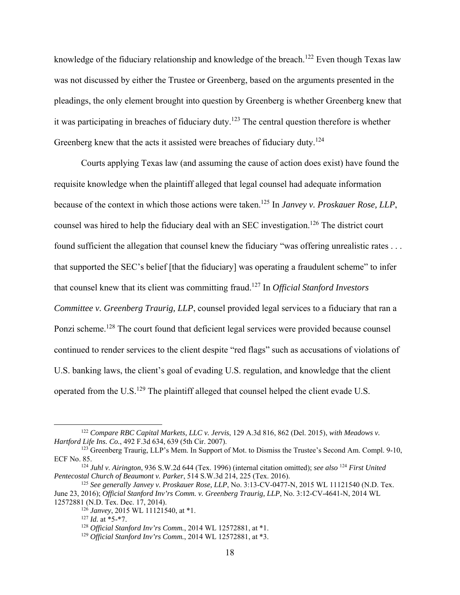knowledge of the fiduciary relationship and knowledge of the breach.<sup>122</sup> Even though Texas law was not discussed by either the Trustee or Greenberg, based on the arguments presented in the pleadings, the only element brought into question by Greenberg is whether Greenberg knew that it was participating in breaches of fiduciary duty.<sup>123</sup> The central question therefore is whether Greenberg knew that the acts it assisted were breaches of fiduciary duty.<sup>124</sup>

Courts applying Texas law (and assuming the cause of action does exist) have found the requisite knowledge when the plaintiff alleged that legal counsel had adequate information because of the context in which those actions were taken.125 In *Janvey v. Proskauer Rose, LLP*, counsel was hired to help the fiduciary deal with an SEC investigation.<sup>126</sup> The district court found sufficient the allegation that counsel knew the fiduciary "was offering unrealistic rates . . . that supported the SEC's belief [that the fiduciary] was operating a fraudulent scheme" to infer that counsel knew that its client was committing fraud.127 In *Official Stanford Investors Committee v. Greenberg Traurig, LLP*, counsel provided legal services to a fiduciary that ran a Ponzi scheme.<sup>128</sup> The court found that deficient legal services were provided because counsel continued to render services to the client despite "red flags" such as accusations of violations of U.S. banking laws, the client's goal of evading U.S. regulation, and knowledge that the client operated from the U.S.129 The plaintiff alleged that counsel helped the client evade U.S.

 <sup>122</sup> *Compare RBC Capital Markets, LLC v. Jervis*, 129 A.3d 816, 862 (Del. 2015), *with Meadows v. Hartford Life Ins. Co.*, 492 F.3d 634, 639 (5th Cir. 2007).

<sup>&</sup>lt;sup>123</sup> Greenberg Traurig, LLP's Mem. In Support of Mot. to Dismiss the Trustee's Second Am. Compl. 9-10, ECF No. 85.

<sup>&</sup>lt;sup>124</sup> *Juhl v. Airington*, 936 S.W.2d 644 (Tex. 1996) (internal citation omitted); see also <sup>124</sup> *First United Pentecostal Church of Beaumont v. Parker*, 514 S.W.3d 214, 225 (Tex. 2016).

<sup>125</sup> *See generally Janvey v. Proskauer Rose, LLP*, No. 3:13-CV-0477-N, 2015 WL 11121540 (N.D. Tex. June 23, 2016); *Official Stanford Inv'rs Comm. v. Greenberg Traurig, LLP*, No. 3:12-CV-4641-N, 2014 WL 12572881 (N.D. Tex. Dec. 17, 2014).

<sup>126</sup> *Janvey*, 2015 WL 11121540, at \*1.

 $127$  *Id.* at \*5-\*7.

<sup>128</sup> *Official Stanford Inv'rs Comm.*, 2014 WL 12572881, at \*1.

<sup>129</sup> *Official Stanford Inv'rs Comm.*, 2014 WL 12572881, at \*3.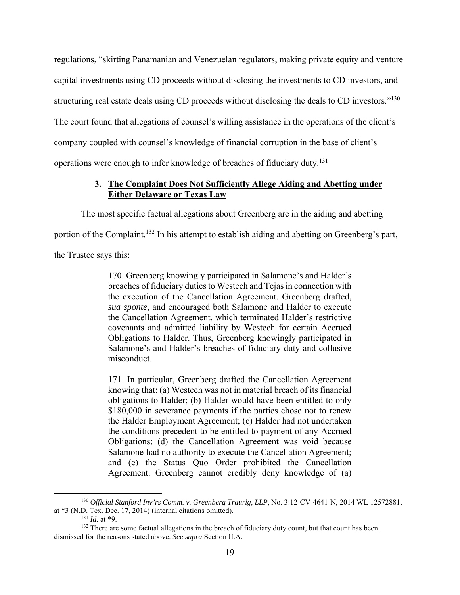regulations, "skirting Panamanian and Venezuelan regulators, making private equity and venture capital investments using CD proceeds without disclosing the investments to CD investors, and structuring real estate deals using CD proceeds without disclosing the deals to CD investors."<sup>130</sup> The court found that allegations of counsel's willing assistance in the operations of the client's company coupled with counsel's knowledge of financial corruption in the base of client's operations were enough to infer knowledge of breaches of fiduciary duty.131

## **3. The Complaint Does Not Sufficiently Allege Aiding and Abetting under Either Delaware or Texas Law**

The most specific factual allegations about Greenberg are in the aiding and abetting

portion of the Complaint.<sup>132</sup> In his attempt to establish aiding and abetting on Greenberg's part,

the Trustee says this:

170. Greenberg knowingly participated in Salamone's and Halder's breaches of fiduciary duties to Westech and Tejas in connection with the execution of the Cancellation Agreement. Greenberg drafted, *sua sponte*, and encouraged both Salamone and Halder to execute the Cancellation Agreement, which terminated Halder's restrictive covenants and admitted liability by Westech for certain Accrued Obligations to Halder. Thus, Greenberg knowingly participated in Salamone's and Halder's breaches of fiduciary duty and collusive misconduct.

171. In particular, Greenberg drafted the Cancellation Agreement knowing that: (a) Westech was not in material breach of its financial obligations to Halder; (b) Halder would have been entitled to only \$180,000 in severance payments if the parties chose not to renew the Halder Employment Agreement; (c) Halder had not undertaken the conditions precedent to be entitled to payment of any Accrued Obligations; (d) the Cancellation Agreement was void because Salamone had no authority to execute the Cancellation Agreement; and (e) the Status Quo Order prohibited the Cancellation Agreement. Greenberg cannot credibly deny knowledge of (a)

 <sup>130</sup> *Official Stanford Inv'rs Comm. v. Greenberg Traurig, LLP*, No. 3:12-CV-4641-N, 2014 WL 12572881, at \*3 (N.D. Tex. Dec. 17, 2014) (internal citations omitted).

 $131$  *Id.* at \*9.

<sup>&</sup>lt;sup>132</sup> There are some factual allegations in the breach of fiduciary duty count, but that count has been dismissed for the reasons stated above. *See supra* Section II.A*.*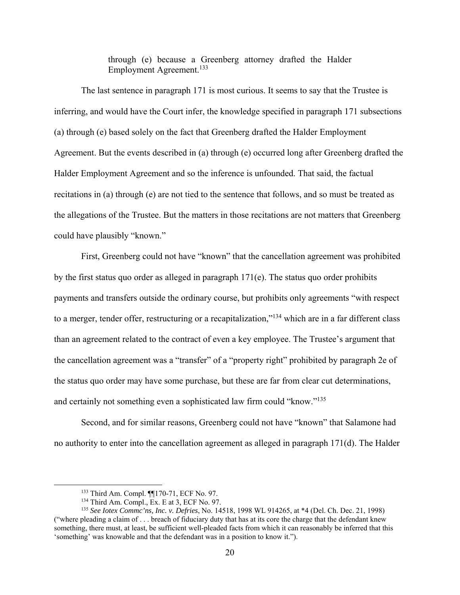through (e) because a Greenberg attorney drafted the Halder Employment Agreement.<sup>133</sup>

The last sentence in paragraph 171 is most curious. It seems to say that the Trustee is inferring, and would have the Court infer, the knowledge specified in paragraph 171 subsections (a) through (e) based solely on the fact that Greenberg drafted the Halder Employment Agreement. But the events described in (a) through (e) occurred long after Greenberg drafted the Halder Employment Agreement and so the inference is unfounded. That said, the factual recitations in (a) through (e) are not tied to the sentence that follows, and so must be treated as the allegations of the Trustee. But the matters in those recitations are not matters that Greenberg could have plausibly "known."

First, Greenberg could not have "known" that the cancellation agreement was prohibited by the first status quo order as alleged in paragraph  $171(e)$ . The status quo order prohibits payments and transfers outside the ordinary course, but prohibits only agreements "with respect to a merger, tender offer, restructuring or a recapitalization,"134 which are in a far different class than an agreement related to the contract of even a key employee. The Trustee's argument that the cancellation agreement was a "transfer" of a "property right" prohibited by paragraph 2e of the status quo order may have some purchase, but these are far from clear cut determinations, and certainly not something even a sophisticated law firm could "know."135

Second, and for similar reasons, Greenberg could not have "known" that Salamone had no authority to enter into the cancellation agreement as alleged in paragraph 171(d). The Halder

 <sup>133</sup> Third Am. Compl. ¶¶170-71, ECF No. 97.

<sup>134</sup> Third Am. Compl., Ex. E at 3, ECF No. 97.

<sup>135</sup> *See Iotex Commc'ns, Inc. v. Defries*, No. 14518, 1998 WL 914265, at \*4 (Del. Ch. Dec. 21, 1998) ("where pleading a claim of . . . breach of fiduciary duty that has at its core the charge that the defendant knew something, there must, at least, be sufficient well-pleaded facts from which it can reasonably be inferred that this 'something' was knowable and that the defendant was in a position to know it.").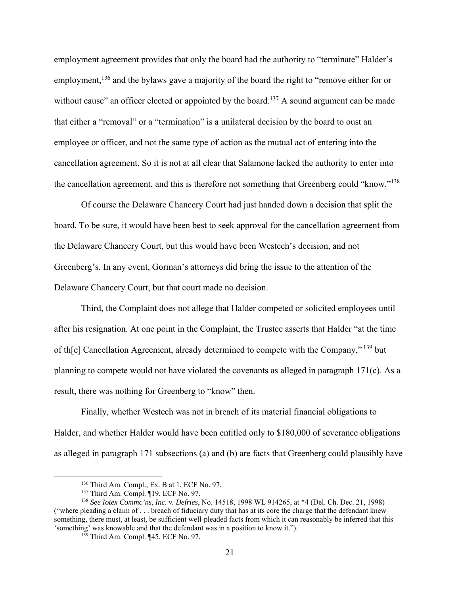employment agreement provides that only the board had the authority to "terminate" Halder's employment,<sup>136</sup> and the bylaws gave a majority of the board the right to "remove either for or without cause" an officer elected or appointed by the board.<sup>137</sup> A sound argument can be made that either a "removal" or a "termination" is a unilateral decision by the board to oust an employee or officer, and not the same type of action as the mutual act of entering into the cancellation agreement. So it is not at all clear that Salamone lacked the authority to enter into the cancellation agreement, and this is therefore not something that Greenberg could "know."138

Of course the Delaware Chancery Court had just handed down a decision that split the board. To be sure, it would have been best to seek approval for the cancellation agreement from the Delaware Chancery Court, but this would have been Westech's decision, and not Greenberg's. In any event, Gorman's attorneys did bring the issue to the attention of the Delaware Chancery Court, but that court made no decision.

Third, the Complaint does not allege that Halder competed or solicited employees until after his resignation. At one point in the Complaint, the Trustee asserts that Halder "at the time of th[e] Cancellation Agreement, already determined to compete with the Company,"<sup>139</sup> but planning to compete would not have violated the covenants as alleged in paragraph 171(c). As a result, there was nothing for Greenberg to "know" then.

Finally, whether Westech was not in breach of its material financial obligations to Halder, and whether Halder would have been entitled only to \$180,000 of severance obligations as alleged in paragraph 171 subsections (a) and (b) are facts that Greenberg could plausibly have

 <sup>136</sup> Third Am. Compl., Ex. B at 1, ECF No. 97.

<sup>&</sup>lt;sup>137</sup> Third Am. Compl. ¶19, ECF No. 97.

<sup>138</sup> *See Iotex Commc'ns, Inc. v. Defries*, No. 14518, 1998 WL 914265, at \*4 (Del. Ch. Dec. 21, 1998) ("where pleading a claim of . . . breach of fiduciary duty that has at its core the charge that the defendant knew something, there must, at least, be sufficient well-pleaded facts from which it can reasonably be inferred that this 'something' was knowable and that the defendant was in a position to know it.").

<sup>&</sup>lt;sup>139</sup> Third Am. Compl. ¶45, ECF No. 97.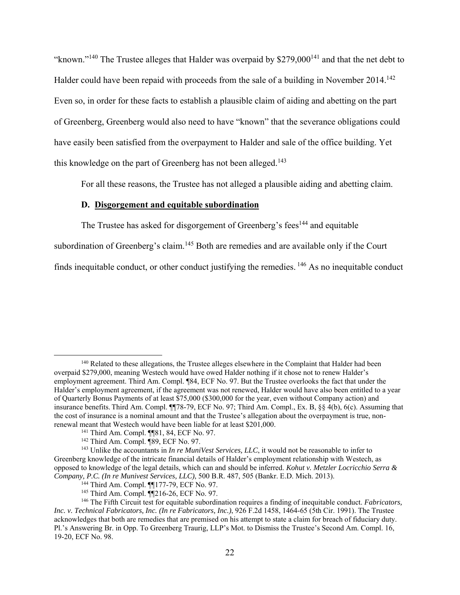"known."<sup>140</sup> The Trustee alleges that Halder was overpaid by  $$279,000$ <sup>141</sup> and that the net debt to Halder could have been repaid with proceeds from the sale of a building in November 2014.<sup>142</sup> Even so, in order for these facts to establish a plausible claim of aiding and abetting on the part of Greenberg, Greenberg would also need to have "known" that the severance obligations could have easily been satisfied from the overpayment to Halder and sale of the office building. Yet this knowledge on the part of Greenberg has not been alleged.<sup>143</sup>

For all these reasons, the Trustee has not alleged a plausible aiding and abetting claim.

#### **D. Disgorgement and equitable subordination**

The Trustee has asked for disgorgement of Greenberg's fees<sup>144</sup> and equitable

subordination of Greenberg's claim.<sup>145</sup> Both are remedies and are available only if the Court

finds inequitable conduct, or other conduct justifying the remedies. 146 As no inequitable conduct

<sup>&</sup>lt;sup>140</sup> Related to these allegations, the Trustee alleges elsewhere in the Complaint that Halder had been overpaid \$279,000, meaning Westech would have owed Halder nothing if it chose not to renew Halder's employment agreement. Third Am. Compl. ¶84, ECF No. 97. But the Trustee overlooks the fact that under the Halder's employment agreement, if the agreement was not renewed, Halder would have also been entitled to a year of Quarterly Bonus Payments of at least \$75,000 (\$300,000 for the year, even without Company action) and insurance benefits. Third Am. Compl. ¶¶78-79, ECF No. 97; Third Am. Compl., Ex. B, §§ 4(b), 6(c). Assuming that the cost of insurance is a nominal amount and that the Trustee's allegation about the overpayment is true, nonrenewal meant that Westech would have been liable for at least \$201,000.<br><sup>141</sup> Third Am. Compl. ¶[81, 84, ECF No. 97.<br><sup>142</sup> Third Am. Compl. ¶89, ECF No. 97.

<sup>&</sup>lt;sup>143</sup> Unlike the accountants in *In re MuniVest Services, LLC*, it would not be reasonable to infer to Greenberg knowledge of the intricate financial details of Halder's employment relationship with Westech, as opposed to knowledge of the legal details, which can and should be inferred. *Kohut v. Metzler Locricchio Serra & Company, P.C. (In re Munivest Services, LLC)*, 500 B.R. 487, 505 (Bankr. E.D. Mich. 2013). 144 Third Am. Compl. ¶¶177-79, ECF No. 97.

<sup>145</sup> Third Am. Compl. ¶¶216-26, ECF No. 97.

<sup>146</sup> The Fifth Circuit test for equitable subordination requires a finding of inequitable conduct. *Fabricators, Inc. v. Technical Fabricators, Inc. (In re Fabricators, Inc.)*, 926 F.2d 1458, 1464-65 (5th Cir. 1991). The Trustee acknowledges that both are remedies that are premised on his attempt to state a claim for breach of fiduciary duty. Pl.'s Answering Br. in Opp. To Greenberg Traurig, LLP's Mot. to Dismiss the Trustee's Second Am. Compl. 16, 19-20, ECF No. 98.